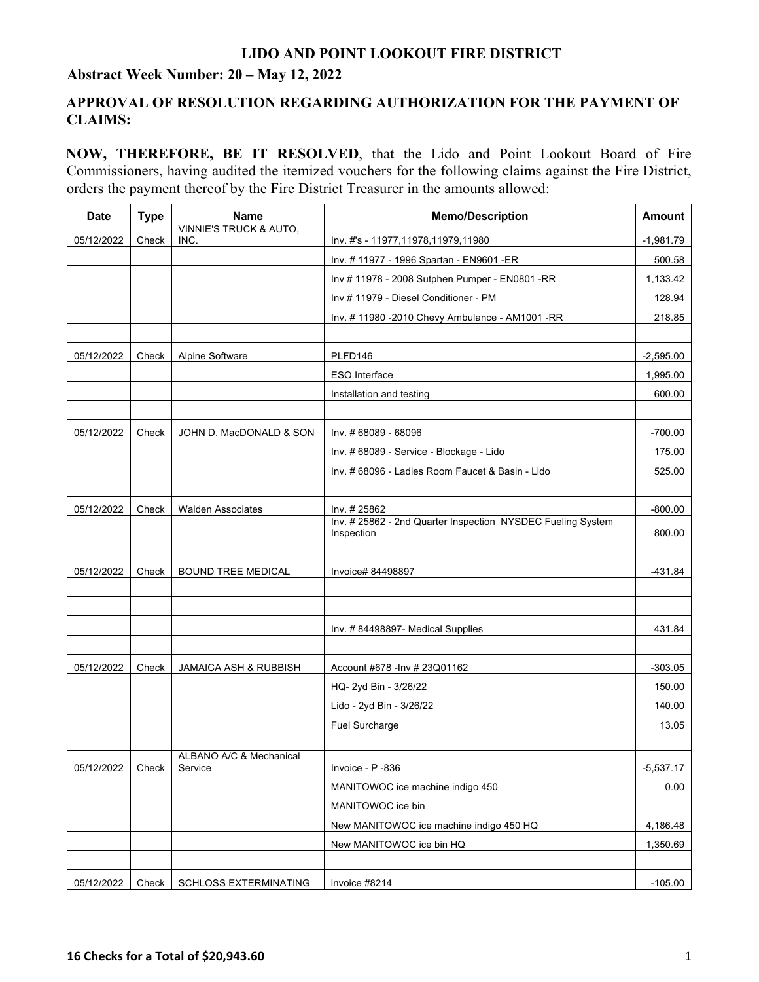## **LIDO AND POINT LOOKOUT FIRE DISTRICT**

## **Abstract Week Number: 20 – May 12, 2022**

## **APPROVAL OF RESOLUTION REGARDING AUTHORIZATION FOR THE PAYMENT OF CLAIMS:**

**NOW, THEREFORE, BE IT RESOLVED**, that the Lido and Point Lookout Board of Fire Commissioners, having audited the itemized vouchers for the following claims against the Fire District, orders the payment thereof by the Fire District Treasurer in the amounts allowed:

| <b>Date</b> | <b>Type</b> | <b>Name</b>                               | <b>Memo/Description</b>                                                   | <b>Amount</b> |
|-------------|-------------|-------------------------------------------|---------------------------------------------------------------------------|---------------|
| 05/12/2022  | Check       | <b>VINNIE'S TRUCK &amp; AUTO,</b><br>INC. | Inv. #'s - 11977,11978,11979,11980                                        | $-1,981.79$   |
|             |             |                                           | Inv. #11977 - 1996 Spartan - EN9601 - ER                                  | 500.58        |
|             |             |                                           | Inv # 11978 - 2008 Sutphen Pumper - EN0801 -RR                            | 1,133.42      |
|             |             |                                           | Inv # 11979 - Diesel Conditioner - PM                                     | 128.94        |
|             |             |                                           | Inv. #11980 -2010 Chevy Ambulance - AM1001 -RR                            | 218.85        |
|             |             |                                           |                                                                           |               |
| 05/12/2022  | Check       | Alpine Software                           | PLFD146                                                                   | $-2,595.00$   |
|             |             |                                           | ESO Interface                                                             | 1,995.00      |
|             |             |                                           | Installation and testing                                                  | 600.00        |
|             |             |                                           |                                                                           |               |
| 05/12/2022  | Check       | JOHN D. MacDONALD & SON                   | Inv. # 68089 - 68096                                                      | $-700.00$     |
|             |             |                                           | Inv. # 68089 - Service - Blockage - Lido                                  | 175.00        |
|             |             |                                           | Inv. # 68096 - Ladies Room Faucet & Basin - Lido                          | 525.00        |
|             |             |                                           |                                                                           |               |
| 05/12/2022  | Check       | <b>Walden Associates</b>                  | Inv. #25862                                                               | $-800.00$     |
|             |             |                                           | Inv. # 25862 - 2nd Quarter Inspection NYSDEC Fueling System<br>Inspection | 800.00        |
|             |             |                                           |                                                                           |               |
| 05/12/2022  | Check       | <b>BOUND TREE MEDICAL</b>                 | Invoice# 84498897                                                         | -431.84       |
|             |             |                                           |                                                                           |               |
|             |             |                                           |                                                                           |               |
|             |             |                                           | Inv. #84498897- Medical Supplies                                          | 431.84        |
|             |             |                                           |                                                                           |               |
| 05/12/2022  | Check       | <b>JAMAICA ASH &amp; RUBBISH</b>          | Account #678 - Inv # 23Q01162                                             | $-303.05$     |
|             |             |                                           | HQ- 2yd Bin - 3/26/22                                                     | 150.00        |
|             |             |                                           | Lido - 2yd Bin - 3/26/22                                                  | 140.00        |
|             |             |                                           | Fuel Surcharge                                                            | 13.05         |
|             |             |                                           |                                                                           |               |
| 05/12/2022  | Check       | ALBANO A/C & Mechanical<br>Service        | Invoice - P -836                                                          | $-5,537.17$   |
|             |             |                                           | MANITOWOC ice machine indigo 450                                          | 0.00          |
|             |             |                                           | MANITOWOC ice bin                                                         |               |
|             |             |                                           | New MANITOWOC ice machine indigo 450 HQ                                   | 4,186.48      |
|             |             |                                           | New MANITOWOC ice bin HQ                                                  | 1,350.69      |
|             |             |                                           |                                                                           |               |
| 05/12/2022  | Check       | SCHLOSS EXTERMINATING                     | invoice #8214                                                             | $-105.00$     |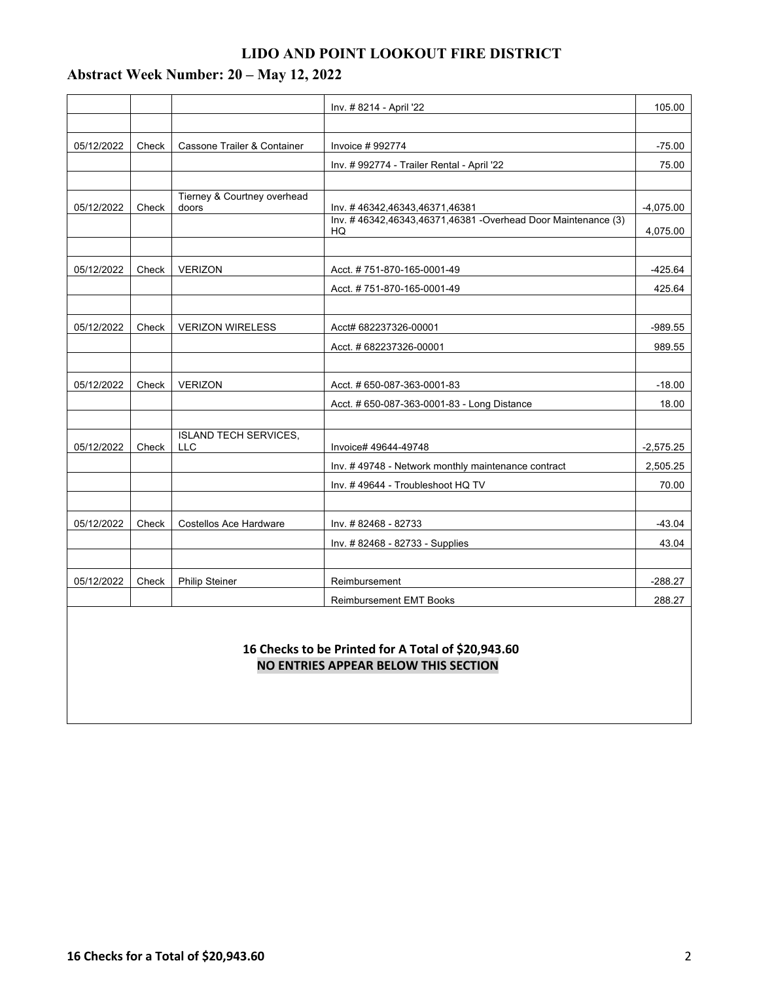## **LIDO AND POINT LOOKOUT FIRE DISTRICT**

# **Abstract Week Number: 20 – May 12, 2022**

|            |       |                                            | Inv. # 8214 - April '22                                       | 105.00      |
|------------|-------|--------------------------------------------|---------------------------------------------------------------|-------------|
|            |       |                                            |                                                               |             |
| 05/12/2022 | Check | Cassone Trailer & Container                | Invoice #992774                                               | $-75.00$    |
|            |       |                                            | Inv. # 992774 - Trailer Rental - April '22                    | 75.00       |
|            |       |                                            |                                                               |             |
| 05/12/2022 | Check | Tierney & Courtney overhead<br>doors       | Inv. #46342,46343,46371,46381                                 | $-4,075.00$ |
|            |       |                                            | Inv. #46342,46343,46371,46381 - Overhead Door Maintenance (3) |             |
|            |       |                                            | HQ                                                            | 4,075.00    |
| 05/12/2022 | Check | <b>VERIZON</b>                             | Acct. #751-870-165-0001-49                                    | $-425.64$   |
|            |       |                                            | Acct. #751-870-165-0001-49                                    | 425.64      |
|            |       |                                            |                                                               |             |
| 05/12/2022 | Check | <b>VERIZON WIRELESS</b>                    | Acct# 682237326-00001                                         | $-989.55$   |
|            |       |                                            | Acct. # 682237326-00001                                       | 989.55      |
|            |       |                                            |                                                               |             |
| 05/12/2022 | Check | <b>VERIZON</b>                             | Acct. # 650-087-363-0001-83                                   | $-18.00$    |
|            |       |                                            | Acct. # 650-087-363-0001-83 - Long Distance                   | 18.00       |
|            |       |                                            |                                                               |             |
| 05/12/2022 | Check | <b>ISLAND TECH SERVICES,</b><br><b>LLC</b> | Invoice# 49644-49748                                          | $-2,575.25$ |
|            |       |                                            | Inv. #49748 - Network monthly maintenance contract            | 2,505.25    |
|            |       |                                            | Inv. #49644 - Troubleshoot HQ TV                              | 70.00       |
|            |       |                                            |                                                               |             |
| 05/12/2022 | Check | <b>Costellos Ace Hardware</b>              | Inv. #82468 - 82733                                           | $-43.04$    |
|            |       |                                            | Inv. #82468 - 82733 - Supplies                                | 43.04       |
|            |       |                                            |                                                               |             |
| 05/12/2022 | Check | <b>Philip Steiner</b>                      | Reimbursement                                                 | $-288.27$   |
|            |       |                                            | <b>Reimbursement EMT Books</b>                                | 288.27      |
|            |       |                                            |                                                               |             |

### **16 Checks to be Printed for A Total of \$20,943.60 NO ENTRIES APPEAR BELOW THIS SECTION**